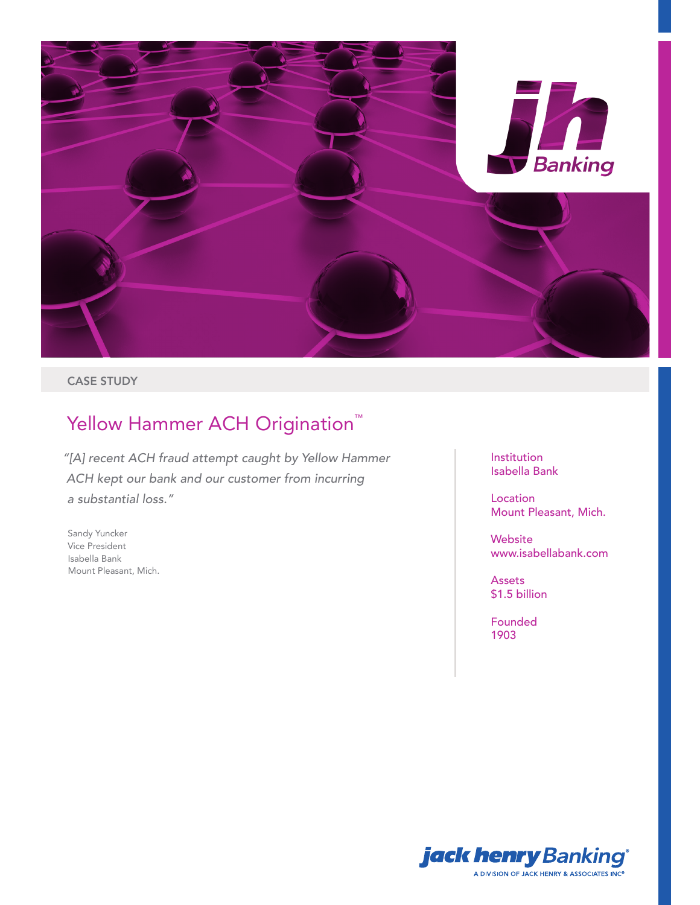

### CASE STUDY

# Yellow Hammer ACH Origination<sup>™</sup>

*"[A] recent ACH fraud attempt caught by Yellow Hammer ACH kept our bank and our customer from incurring a substantial loss."*

Sandy Yuncker Vice President Isabella Bank Mount Pleasant, Mich. Institution Isabella Bank

Location Mount Pleasant, Mich.

Website www.isabellabank.com

Assets \$1.5 billion

Founded 1903

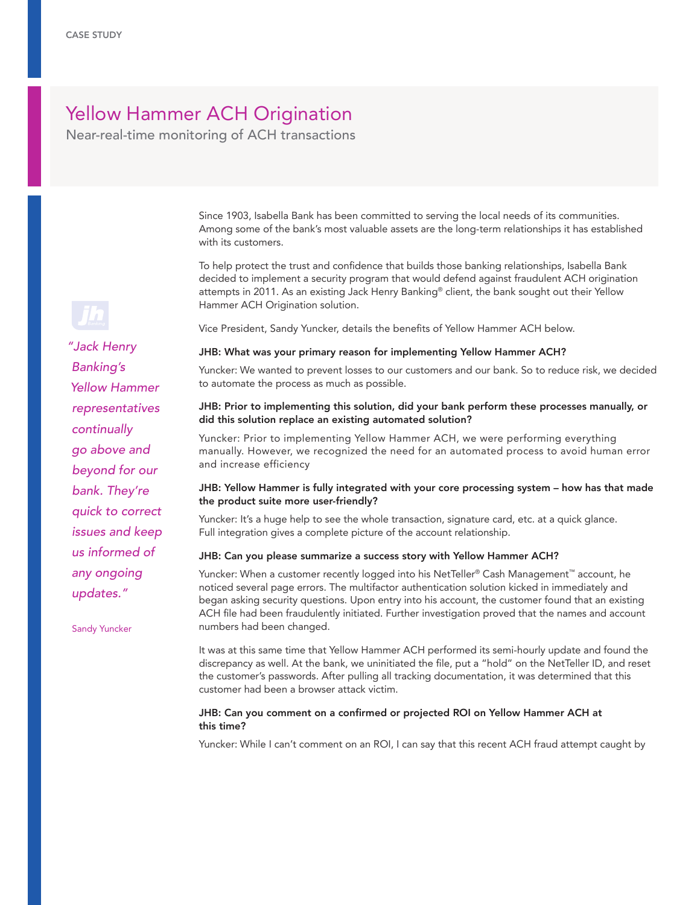## Yellow Hammer ACH Origination

Near-real-time monitoring of ACH transactions

Since 1903, Isabella Bank has been committed to serving the local needs of its communities. Among some of the bank's most valuable assets are the long-term relationships it has established with its customers.

To help protect the trust and confidence that builds those banking relationships, Isabella Bank decided to implement a security program that would defend against fraudulent ACH origination attempts in 2011. As an existing Jack Henry Banking® client, the bank sought out their Yellow Hammer ACH Origination solution.

Vice President, Sandy Yuncker, details the benefits of Yellow Hammer ACH below.

#### JHB: What was your primary reason for implementing Yellow Hammer ACH?

Yuncker: We wanted to prevent losses to our customers and our bank. So to reduce risk, we decided to automate the process as much as possible.

#### JHB: Prior to implementing this solution, did your bank perform these processes manually, or did this solution replace an existing automated solution?

Yuncker: Prior to implementing Yellow Hammer ACH, we were performing everything manually. However, we recognized the need for an automated process to avoid human error and increase efficiency

#### JHB: Yellow Hammer is fully integrated with your core processing system – how has that made the product suite more user-friendly?

Yuncker: It's a huge help to see the whole transaction, signature card, etc. at a quick glance. Full integration gives a complete picture of the account relationship.

#### JHB: Can you please summarize a success story with Yellow Hammer ACH?

Yuncker: When a customer recently logged into his NetTeller® Cash Management™ account, he noticed several page errors. The multifactor authentication solution kicked in immediately and began asking security questions. Upon entry into his account, the customer found that an existing ACH file had been fraudulently initiated. Further investigation proved that the names and account numbers had been changed.

It was at this same time that Yellow Hammer ACH performed its semi-hourly update and found the discrepancy as well. At the bank, we uninitiated the file, put a "hold" on the NetTeller ID, and reset the customer's passwords. After pulling all tracking documentation, it was determined that this customer had been a browser attack victim.

#### JHB: Can you comment on a confirmed or projected ROI on Yellow Hammer ACH at this time?

Yuncker: While I can't comment on an ROI, I can say that this recent ACH fraud attempt caught by



*"Jack Henry Banking's Yellow Hammer representatives continually go above and beyond for our bank. They're quick to correct issues and keep us informed of any ongoing updates."* 

Sandy Yuncker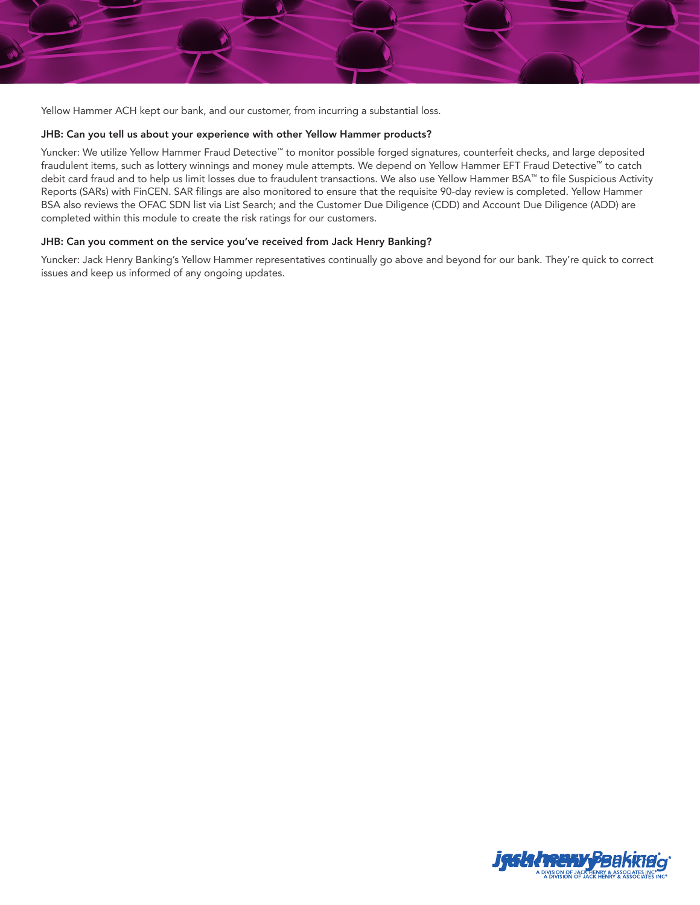

Yellow Hammer ACH kept our bank, and our customer, from incurring a substantial loss.

#### JHB: Can you tell us about your experience with other Yellow Hammer products?

Yuncker: We utilize Yellow Hammer Fraud Detective™ to monitor possible forged signatures, counterfeit checks, and large deposited fraudulent items, such as lottery winnings and money mule attempts. We depend on Yellow Hammer EFT Fraud Detective™ to catch debit card fraud and to help us limit losses due to fraudulent transactions. We also use Yellow Hammer BSA™ to file Suspicious Activity Reports (SARs) with FinCEN. SAR filings are also monitored to ensure that the requisite 90-day review is completed. Yellow Hammer BSA also reviews the OFAC SDN list via List Search; and the Customer Due Diligence (CDD) and Account Due Diligence (ADD) are completed within this module to create the risk ratings for our customers.

#### JHB: Can you comment on the service you've received from Jack Henry Banking?

Yuncker: Jack Henry Banking's Yellow Hammer representatives continually go above and beyond for our bank. They're quick to correct issues and keep us informed of any ongoing updates.